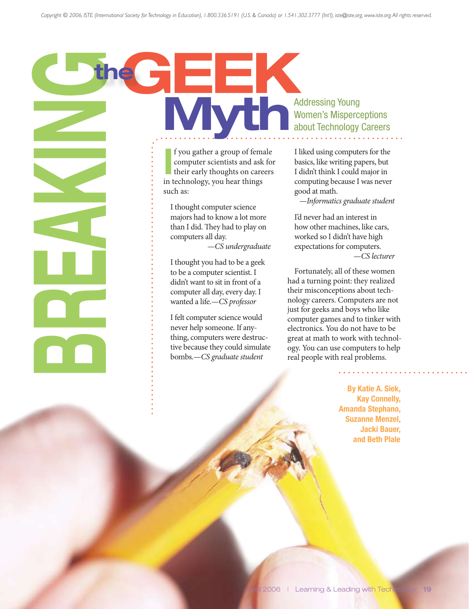# According the street of the computer science of the computer science of the computer science of the computer science of the computer science and did. They had to have all one computer science than I did. They had to have a Addressing Young<br>
Momen's Misperce<br>
about Technology Women's Misperceptions about Technology Careers

I f you gather a group of female computer scientists and ask for their early thoughts on careers in technology, you hear things such as:

I thought computer science majors had to know a lot more than I did. They had to play on computers all day.

—*CS undergraduate*

I thought you had to be a geek to be a computer scientist. I didn't want to sit in front of a computer all day, every day. I wanted a life.—*CS professor*

I felt computer science would never help someone. If anything, computers were destructive because they could simulate bombs.—*CS graduate student*

I liked using computers for the basics, like writing papers, but I didn't think I could major in computing because I was never good at math.

—*Informatics graduate student*

I'd never had an interest in how other machines, like cars, worked so I didn't have high expectations for computers. —*CS lecturer*

Fortunately, all of these women had a turning point: they realized their misconceptions about technology careers. Computers are not just for geeks and boys who like computer games and to tinker with electronics. You do not have to be great at math to work with technology. You can use computers to help real people with real problems.

> By Katie A. Siek, Kay Connelly, Amanda Stephano, Suzanne Menzel, Jacki Bauer, and Beth Plale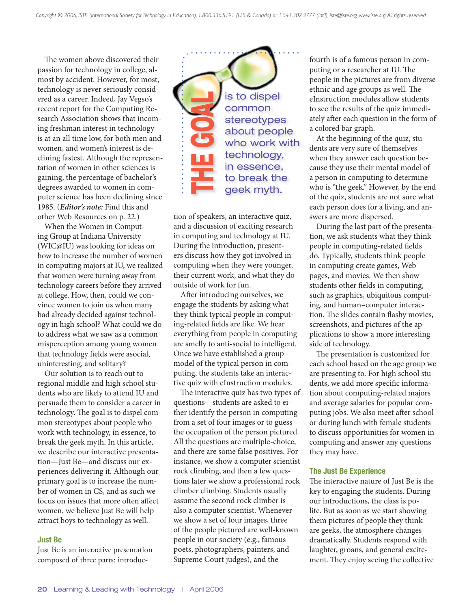The women above discovered their passion for technology in college, almost by accident. However, for most, technology is never seriously considered as a career. Indeed, Jay Vegso's recent report for the Computing Research Association shows that incoming freshman interest in technology is at an all time low, for both men and women, and women's interest is declining fastest. Although the representation of women in other sciences is gaining, the percentage of bachelor's degrees awarded to women in computer science has been declining since 1985. (*Editor's note:* Find this and other Web Resources on p. 22.)

When the Women in Computing Group at Indiana University (WIC@IU) was looking for ideas on how to increase the number of women in computing majors at IU, we realized that women were turning away from technology careers before they arrived at college. How, then, could we convince women to join us when many had already decided against technology in high school? What could we do to address what we saw as a common misperception among young women that technology fields were asocial, uninteresting, and solitary?

Our solution is to reach out to regional middle and high school students who are likely to attend IU and persuade them to consider a career in technology. The goal is to dispel common stereotypes about people who work with technology, in essence, to break the geek myth. In this article, we describe our interactive presentation—Just Be—and discuss our experiences delivering it. Although our primary goal is to increase the number of women in CS, and as such we focus on issues that more often affect women, we believe Just Be will help attract boys to technology as well.

## Just Be

Just Be is an interactive presentation composed of three parts: introduc-

is to dispel common stereotypes about people who work with technology, in essence, to break the The goal game of the grad game of the grad game of the grad game of the grad game of the grad material game of the grad myth.

tion of speakers, an interactive quiz, and a discussion of exciting research in computing and technology at IU. During the introduction, presenters discuss how they got involved in computing when they were younger, their current work, and what they do outside of work for fun.

After introducing ourselves, we engage the students by asking what they think typical people in computing-related fields are like. We hear everything from people in computing are smelly to anti-social to intelligent. Once we have established a group model of the typical person in computing, the students take an interactive quiz with eInstruction modules.

The interactive quiz has two types of questions—students are asked to either identify the person in computing from a set of four images or to guess the occupation of the person pictured. All the questions are multiple-choice, and there are some false positives. For instance, we show a computer scientist rock climbing, and then a few questions later we show a professional rock climber climbing. Students usually assume the second rock climber is also a computer scientist. Whenever we show a set of four images, three of the people pictured are well-known people in our society (e.g., famous poets, photographers, painters, and Supreme Court judges), and the

fourth is of a famous person in computing or a researcher at IU. The people in the pictures are from diverse ethnic and age groups as well. The eInstruction modules allow students to see the results of the quiz immediately after each question in the form of a colored bar graph.

At the beginning of the quiz, students are very sure of themselves when they answer each question because they use their mental model of a person in computing to determine who is "the geek." However, by the end of the quiz, students are not sure what each person does for a living, and answers are more dispersed.

During the last part of the presentation, we ask students what they think people in computing-related fields do. Typically, students think people in computing create games, Web pages, and movies. We then show students other fields in computing, such as graphics, ubiquitous computing, and human–computer interaction. The slides contain flashy movies, screenshots, and pictures of the applications to show a more interesting side of technology.

The presentation is customized for each school based on the age group we are presenting to. For high school students, we add more specific information about computing-related majors and average salaries for popular computing jobs. We also meet after school or during lunch with female students to discuss opportunities for women in computing and answer any questions they may have.

### The Just Be Experience

The interactive nature of Just Be is the key to engaging the students. During our introductions, the class is polite. But as soon as we start showing them pictures of people they think are geeks, the atmosphere changes dramatically. Students respond with laughter, groans, and general excitement. They enjoy seeing the collective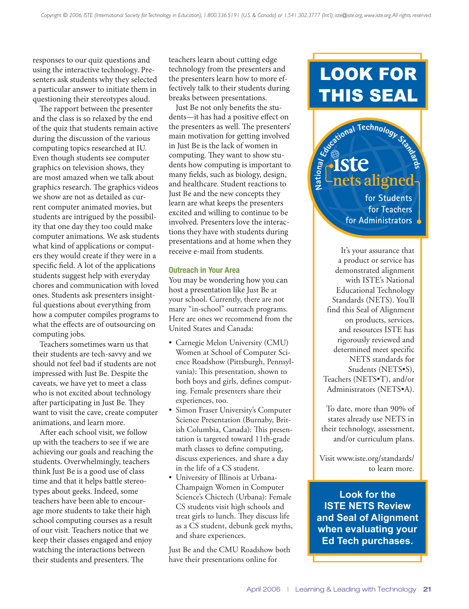responses to our quiz questions and using the interactive technology. Presenters ask students why they selected a particular answer to initiate them in questioning their stereotypes aloud.

The rapport between the presenter and the class is so relaxed by the end of the quiz that students remain active during the discussion of the various computing topics researched at IU. Even though students see computer graphics on television shows, they are most amazed when we talk about graphics research. The graphics videos we show are not as detailed as current computer animated movies, but students are intrigued by the possibility that one day they too could make computer animations. We ask students what kind of applications or computers they would create if they were in a specific field. A lot of the applications students suggest help with everyday chores and communication with loved ones. Students ask presenters insightful questions about everything from how a computer compiles programs to what the effects are of outsourcing on computing jobs.

Teachers sometimes warn us that their students are tech-savvy and we should not feel bad if students are not impressed with Just Be. Despite the caveats, we have yet to meet a class who is not excited about technology after participating in Just Be. They want to visit the cave, create computer animations, and learn more.

After each school visit, we follow up with the teachers to see if we are achieving our goals and reaching the students. Overwhelmingly, teachers think Just Be is a good use of class time and that it helps battle stereotypes about geeks. Indeed, some teachers have been able to encourage more students to take their high school computing courses as a result of our visit. Teachers notice that we keep their classes engaged and enjoy watching the interactions between their students and presenters. The

teachers learn about cutting edge technology from the presenters and the presenters learn how to more effectively talk to their students during breaks between presentations.

Just Be not only benefits the students—it has had a positive effect on the presenters as well. The presenters' main motivation for getting involved in Just Be is the lack of women in computing. They want to show students how computing is important to many fields, such as biology, design, and healthcare. Student reactions to Just Be and the new concepts they learn are what keeps the presenters excited and willing to continue to be involved. Presenters love the interactions they have with students during presentations and at home when they receive e-mail from students.

# Outreach in Your Area

You may be wondering how you can host a presentation like Just Be at your school. Currently, there are not many "in-school" outreach programs. Here are ones we recommend from the United States and Canada:

- Carnegie Melon University (CMU) Women at School of Computer Science Roadshow (Pittsburgh, Pennsylvania): This presentation, shown to both boys and girls, defines computing. Female presenters share their experiences, too.
- Simon Fraser University's Computer Science Presentation (Burnaby, British Columbia, Canada): This presentation is targeted toward 11th-grade math classes to define computing, discuss experiences, and share a day in the life of a CS student.
- University of Illinois at Urbana-Champaign Women in Computer Science's Chictech (Urbana): Female CS students visit high schools and treat girls to lunch. They discuss life as a CS student, debunk geek myths, and share experiences.

Just Be and the CMU Roadshow both have their presentations online for

# LOOK FOR THIS SEAL

Entre aligned

**nets aligned**

**for Students for Teachers**

**for Administrators** It's your assurance that a product or service has demonstrated alignment with ISTE's National Educational Technology Standards (NETS). You'll find this Seal of Alignment on products, services, and resources ISTE has rigorously reviewed and determined meet specific NETS standards for Students (NETS•S), Teachers (NETS•T), and/or Administrators (NETS•A).

To date, more than 90% of states already use NETS in their technology, assessment, and/or curriculum plans.

Visit www.iste.org/standards/ to learn more.

**Look for the ISTE NETS Review and Seal of Alignment when evaluating your Ed Tech purchases.**